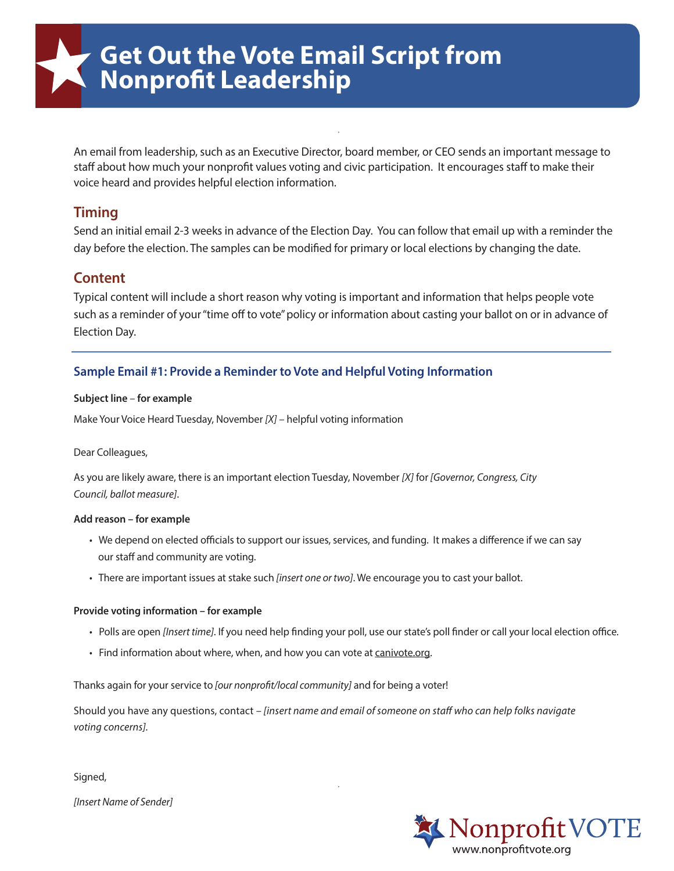An email from leadership, such as an Executive Director, board member, or CEO sends an important message to staff about how much your nonprofit values voting and civic participation. It encourages staff to make their voice heard and provides helpful election information.

# **Timing**

Send an initial email 2-3 weeks in advance of the Election Day. You can follow that email up with a reminder the day before the election. The samples can be modified for primary or local elections by changing the date.

# **Content**

Typical content will include a short reason why voting is important and information that helps people vote such as a reminder of your "time off to vote" policy or information about casting your ballot on or in advance of Election Day.

# **Sample Email #1: Provide a Reminder to Vote and Helpful Voting Information**

### **Subject line** – **for example**

Make Your Voice Heard Tuesday, November *[X]* – helpful voting information

## Dear Colleagues,

As you are likely aware, there is an important election Tuesday, November *[X]* for *[Governor, Congress, City Council, ballot measure]*.

### **Add reason – for example**

- We depend on elected officials to support our issues, services, and funding. It makes a difference if we can say our staff and community are voting.
- There are important issues at stake such *[insert one or two]*. We encourage you to cast your ballot.

## **Provide voting information – for example**

- Polls are open *[Insert time]*. If you need help finding your poll, use our state's poll finder or call your local election office.
- Find information about where, when, and how you can vote at [canivote.org.](http://www.canivote.org/)

Thanks again for your service to [our nonprofit/local community] and for being a voter!

Should you have any questions, contact – [insert name and email of someone on staff who can help folks navigate *voting concerns].*

Signed,

*[Insert Name of Sender]*